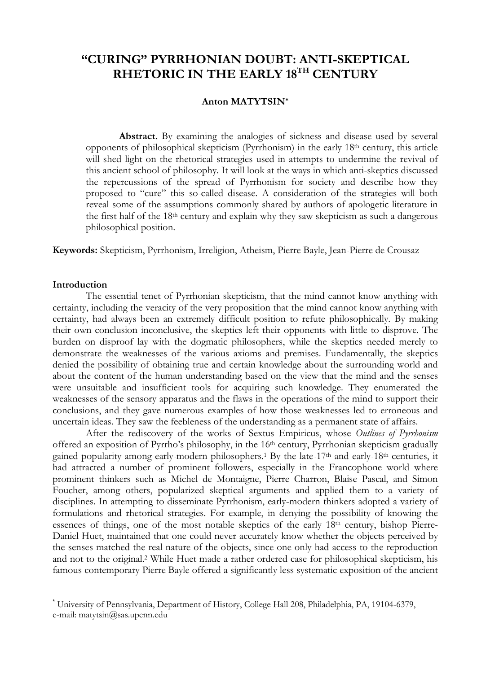# "CURING" PYRRHONIAN DOUBT: ANTI-SKEPTICAL RHETORIC IN THE EARLY 18TH CENTURY

## Anton MATYTSIN\*

Abstract. By examining the analogies of sickness and disease used by several opponents of philosophical skepticism (Pyrrhonism) in the early 18th century, this article will shed light on the rhetorical strategies used in attempts to undermine the revival of this ancient school of philosophy. It will look at the ways in which anti-skeptics discussed the repercussions of the spread of Pyrrhonism for society and describe how they proposed to "cure" this so-called disease. A consideration of the strategies will both reveal some of the assumptions commonly shared by authors of apologetic literature in the first half of the 18th century and explain why they saw skepticism as such a dangerous philosophical position.

Keywords: Skepticism, Pyrrhonism, Irreligion, Atheism, Pierre Bayle, Jean-Pierre de Crousaz

## Introduction

The essential tenet of Pyrrhonian skepticism, that the mind cannot know anything with certainty, including the veracity of the very proposition that the mind cannot know anything with certainty, had always been an extremely difficult position to refute philosophically. By making their own conclusion inconclusive, the skeptics left their opponents with little to disprove. The burden on disproof lay with the dogmatic philosophers, while the skeptics needed merely to demonstrate the weaknesses of the various axioms and premises. Fundamentally, the skeptics denied the possibility of obtaining true and certain knowledge about the surrounding world and about the content of the human understanding based on the view that the mind and the senses were unsuitable and insufficient tools for acquiring such knowledge. They enumerated the weaknesses of the sensory apparatus and the flaws in the operations of the mind to support their conclusions, and they gave numerous examples of how those weaknesses led to erroneous and uncertain ideas. They saw the feebleness of the understanding as a permanent state of affairs.

After the rediscovery of the works of Sextus Empiricus, whose Outlines of Pyrrhonism offered an exposition of Pyrrho's philosophy, in the 16th century, Pyrrhonian skepticism gradually gained popularity among early-modern philosophers.<sup>1</sup> By the late-17<sup>th</sup> and early-18<sup>th</sup> centuries, it had attracted a number of prominent followers, especially in the Francophone world where prominent thinkers such as Michel de Montaigne, Pierre Charron, Blaise Pascal, and Simon Foucher, among others, popularized skeptical arguments and applied them to a variety of disciplines. In attempting to disseminate Pyrrhonism, early-modern thinkers adopted a variety of formulations and rhetorical strategies. For example, in denying the possibility of knowing the essences of things, one of the most notable skeptics of the early 18<sup>th</sup> century, bishop Pierre-Daniel Huet, maintained that one could never accurately know whether the objects perceived by the senses matched the real nature of the objects, since one only had access to the reproduction and not to the original.<sup>2</sup> While Huet made a rather ordered case for philosophical skepticism, his famous contemporary Pierre Bayle offered a significantly less systematic exposition of the ancient

<sup>\*</sup> University of Pennsylvania, Department of History, College Hall 208, Philadelphia, PA, 19104-6379, e-mail: matytsin@sas.upenn.edu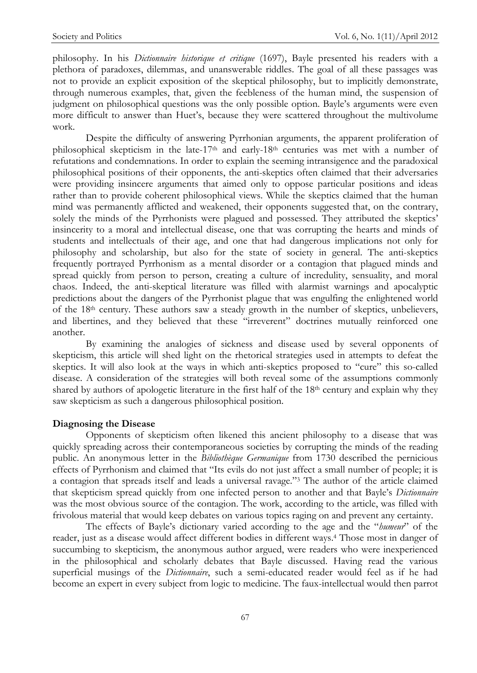philosophy. In his *Dictionnaire historique et critique* (1697), Bayle presented his readers with a plethora of paradoxes, dilemmas, and unanswerable riddles. The goal of all these passages was not to provide an explicit exposition of the skeptical philosophy, but to implicitly demonstrate, through numerous examples, that, given the feebleness of the human mind, the suspension of judgment on philosophical questions was the only possible option. Bayle's arguments were even more difficult to answer than Huet's, because they were scattered throughout the multivolume work.

Despite the difficulty of answering Pyrrhonian arguments, the apparent proliferation of philosophical skepticism in the late-17<sup>th</sup> and early-18<sup>th</sup> centuries was met with a number of refutations and condemnations. In order to explain the seeming intransigence and the paradoxical philosophical positions of their opponents, the anti-skeptics often claimed that their adversaries were providing insincere arguments that aimed only to oppose particular positions and ideas rather than to provide coherent philosophical views. While the skeptics claimed that the human mind was permanently afflicted and weakened, their opponents suggested that, on the contrary, solely the minds of the Pyrrhonists were plagued and possessed. They attributed the skeptics' insincerity to a moral and intellectual disease, one that was corrupting the hearts and minds of students and intellectuals of their age, and one that had dangerous implications not only for philosophy and scholarship, but also for the state of society in general. The anti-skeptics frequently portrayed Pyrrhonism as a mental disorder or a contagion that plagued minds and spread quickly from person to person, creating a culture of incredulity, sensuality, and moral chaos. Indeed, the anti-skeptical literature was filled with alarmist warnings and apocalyptic predictions about the dangers of the Pyrrhonist plague that was engulfing the enlightened world of the 18th century. These authors saw a steady growth in the number of skeptics, unbelievers, and libertines, and they believed that these "irreverent" doctrines mutually reinforced one another.

By examining the analogies of sickness and disease used by several opponents of skepticism, this article will shed light on the rhetorical strategies used in attempts to defeat the skeptics. It will also look at the ways in which anti-skeptics proposed to "cure" this so-called disease. A consideration of the strategies will both reveal some of the assumptions commonly shared by authors of apologetic literature in the first half of the  $18<sup>th</sup>$  century and explain why they saw skepticism as such a dangerous philosophical position.

## Diagnosing the Disease

 Opponents of skepticism often likened this ancient philosophy to a disease that was quickly spreading across their contemporaneous societies by corrupting the minds of the reading public. An anonymous letter in the Bibliothèque Germanique from 1730 described the pernicious effects of Pyrrhonism and claimed that "Its evils do not just affect a small number of people; it is a contagion that spreads itself and leads a universal ravage."<sup>3</sup> The author of the article claimed that skepticism spread quickly from one infected person to another and that Bayle's Dictionnaire was the most obvious source of the contagion. The work, according to the article, was filled with frivolous material that would keep debates on various topics raging on and prevent any certainty.

The effects of Bayle's dictionary varied according to the age and the "humeur" of the reader, just as a disease would affect different bodies in different ways.<sup>4</sup> Those most in danger of succumbing to skepticism, the anonymous author argued, were readers who were inexperienced in the philosophical and scholarly debates that Bayle discussed. Having read the various superficial musings of the *Dictionnaire*, such a semi-educated reader would feel as if he had become an expert in every subject from logic to medicine. The faux-intellectual would then parrot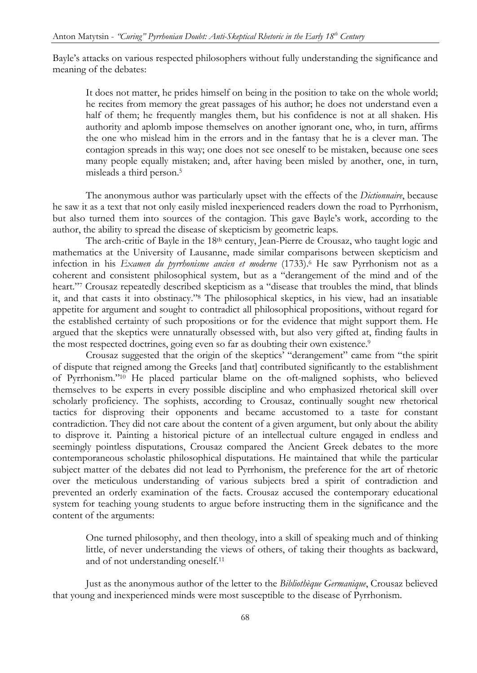Bayle's attacks on various respected philosophers without fully understanding the significance and meaning of the debates:

It does not matter, he prides himself on being in the position to take on the whole world; he recites from memory the great passages of his author; he does not understand even a half of them; he frequently mangles them, but his confidence is not at all shaken. His authority and aplomb impose themselves on another ignorant one, who, in turn, affirms the one who mislead him in the errors and in the fantasy that he is a clever man. The contagion spreads in this way; one does not see oneself to be mistaken, because one sees many people equally mistaken; and, after having been misled by another, one, in turn, misleads a third person.<sup>5</sup>

The anonymous author was particularly upset with the effects of the *Dictionnaire*, because he saw it as a text that not only easily misled inexperienced readers down the road to Pyrrhonism, but also turned them into sources of the contagion. This gave Bayle's work, according to the author, the ability to spread the disease of skepticism by geometric leaps.

The arch-critic of Bayle in the 18th century, Jean-Pierre de Crousaz, who taught logic and mathematics at the University of Lausanne, made similar comparisons between skepticism and infection in his Examen du pyrrhonisme ancien et moderne (1733).<sup>6</sup> He saw Pyrrhonism not as a coherent and consistent philosophical system, but as a "derangement of the mind and of the heart."<sup>7</sup> Crousaz repeatedly described skepticism as a "disease that troubles the mind, that blinds it, and that casts it into obstinacy."<sup>8</sup> The philosophical skeptics, in his view, had an insatiable appetite for argument and sought to contradict all philosophical propositions, without regard for the established certainty of such propositions or for the evidence that might support them. He argued that the skeptics were unnaturally obsessed with, but also very gifted at, finding faults in the most respected doctrines, going even so far as doubting their own existence.<sup>9</sup>

Crousaz suggested that the origin of the skeptics' "derangement" came from "the spirit of dispute that reigned among the Greeks [and that] contributed significantly to the establishment of Pyrrhonism."10 He placed particular blame on the oft-maligned sophists, who believed themselves to be experts in every possible discipline and who emphasized rhetorical skill over scholarly proficiency. The sophists, according to Crousaz, continually sought new rhetorical tactics for disproving their opponents and became accustomed to a taste for constant contradiction. They did not care about the content of a given argument, but only about the ability to disprove it. Painting a historical picture of an intellectual culture engaged in endless and seemingly pointless disputations, Crousaz compared the Ancient Greek debates to the more contemporaneous scholastic philosophical disputations. He maintained that while the particular subject matter of the debates did not lead to Pyrrhonism, the preference for the art of rhetoric over the meticulous understanding of various subjects bred a spirit of contradiction and prevented an orderly examination of the facts. Crousaz accused the contemporary educational system for teaching young students to argue before instructing them in the significance and the content of the arguments:

One turned philosophy, and then theology, into a skill of speaking much and of thinking little, of never understanding the views of others, of taking their thoughts as backward, and of not understanding oneself.<sup>11</sup>

Just as the anonymous author of the letter to the Bibliothèque Germanique, Crousaz believed that young and inexperienced minds were most susceptible to the disease of Pyrrhonism.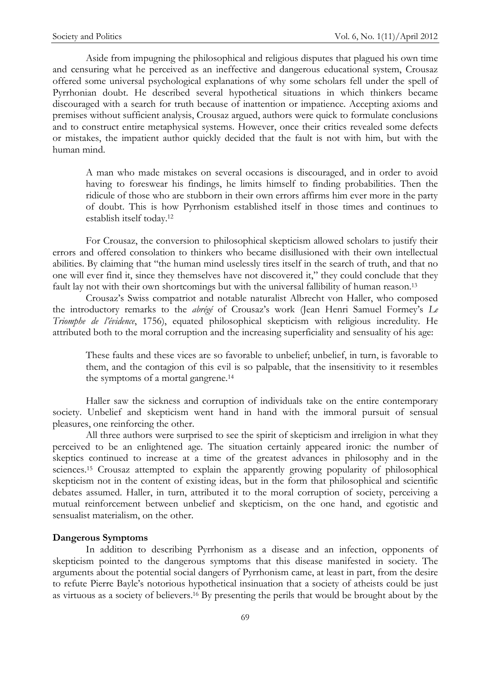Aside from impugning the philosophical and religious disputes that plagued his own time and censuring what he perceived as an ineffective and dangerous educational system, Crousaz offered some universal psychological explanations of why some scholars fell under the spell of Pyrrhonian doubt. He described several hypothetical situations in which thinkers became discouraged with a search for truth because of inattention or impatience. Accepting axioms and premises without sufficient analysis, Crousaz argued, authors were quick to formulate conclusions and to construct entire metaphysical systems. However, once their critics revealed some defects or mistakes, the impatient author quickly decided that the fault is not with him, but with the human mind.

A man who made mistakes on several occasions is discouraged, and in order to avoid having to foreswear his findings, he limits himself to finding probabilities. Then the ridicule of those who are stubborn in their own errors affirms him ever more in the party of doubt. This is how Pyrrhonism established itself in those times and continues to establish itself today.<sup>12</sup>

For Crousaz, the conversion to philosophical skepticism allowed scholars to justify their errors and offered consolation to thinkers who became disillusioned with their own intellectual abilities. By claiming that "the human mind uselessly tires itself in the search of truth, and that no one will ever find it, since they themselves have not discovered it," they could conclude that they fault lay not with their own shortcomings but with the universal fallibility of human reason.<sup>13</sup>

 Crousaz's Swiss compatriot and notable naturalist Albrecht von Haller, who composed the introductory remarks to the abrégé of Crousaz's work (Jean Henri Samuel Formey's  $Le$ Triomphe de l'évidence, 1756), equated philosophical skepticism with religious incredulity. He attributed both to the moral corruption and the increasing superficiality and sensuality of his age:

These faults and these vices are so favorable to unbelief; unbelief, in turn, is favorable to them, and the contagion of this evil is so palpable, that the insensitivity to it resembles the symptoms of a mortal gangrene.<sup>14</sup>

Haller saw the sickness and corruption of individuals take on the entire contemporary society. Unbelief and skepticism went hand in hand with the immoral pursuit of sensual pleasures, one reinforcing the other.

 All three authors were surprised to see the spirit of skepticism and irreligion in what they perceived to be an enlightened age. The situation certainly appeared ironic: the number of skeptics continued to increase at a time of the greatest advances in philosophy and in the sciences.<sup>15</sup> Crousaz attempted to explain the apparently growing popularity of philosophical skepticism not in the content of existing ideas, but in the form that philosophical and scientific debates assumed. Haller, in turn, attributed it to the moral corruption of society, perceiving a mutual reinforcement between unbelief and skepticism, on the one hand, and egotistic and sensualist materialism, on the other.

## Dangerous Symptoms

 In addition to describing Pyrrhonism as a disease and an infection, opponents of skepticism pointed to the dangerous symptoms that this disease manifested in society. The arguments about the potential social dangers of Pyrrhonism came, at least in part, from the desire to refute Pierre Bayle's notorious hypothetical insinuation that a society of atheists could be just as virtuous as a society of believers.16 By presenting the perils that would be brought about by the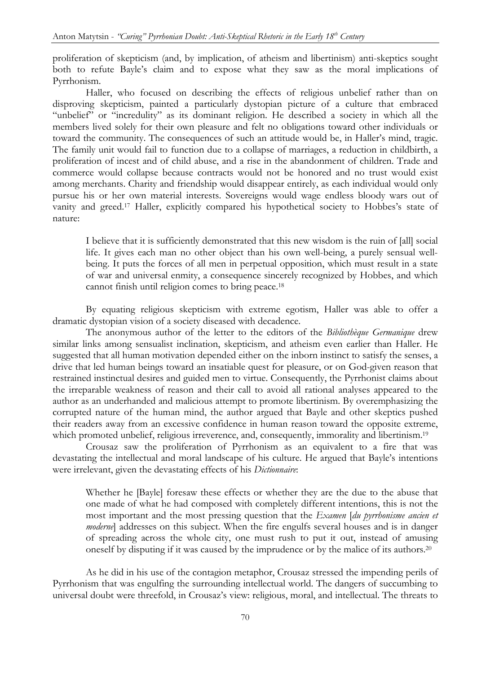proliferation of skepticism (and, by implication, of atheism and libertinism) anti-skeptics sought both to refute Bayle's claim and to expose what they saw as the moral implications of Pyrrhonism.

Haller, who focused on describing the effects of religious unbelief rather than on disproving skepticism, painted a particularly dystopian picture of a culture that embraced "unbelief" or "incredulity" as its dominant religion. He described a society in which all the members lived solely for their own pleasure and felt no obligations toward other individuals or toward the community. The consequences of such an attitude would be, in Haller's mind, tragic. The family unit would fail to function due to a collapse of marriages, a reduction in childbirth, a proliferation of incest and of child abuse, and a rise in the abandonment of children. Trade and commerce would collapse because contracts would not be honored and no trust would exist among merchants. Charity and friendship would disappear entirely, as each individual would only pursue his or her own material interests. Sovereigns would wage endless bloody wars out of vanity and greed.17 Haller, explicitly compared his hypothetical society to Hobbes's state of nature:

I believe that it is sufficiently demonstrated that this new wisdom is the ruin of [all] social life. It gives each man no other object than his own well-being, a purely sensual wellbeing. It puts the forces of all men in perpetual opposition, which must result in a state of war and universal enmity, a consequence sincerely recognized by Hobbes, and which cannot finish until religion comes to bring peace.<sup>18</sup>

By equating religious skepticism with extreme egotism, Haller was able to offer a dramatic dystopian vision of a society diseased with decadence.

The anonymous author of the letter to the editors of the Bibliothèque Germanique drew similar links among sensualist inclination, skepticism, and atheism even earlier than Haller. He suggested that all human motivation depended either on the inborn instinct to satisfy the senses, a drive that led human beings toward an insatiable quest for pleasure, or on God-given reason that restrained instinctual desires and guided men to virtue. Consequently, the Pyrrhonist claims about the irreparable weakness of reason and their call to avoid all rational analyses appeared to the author as an underhanded and malicious attempt to promote libertinism. By overemphasizing the corrupted nature of the human mind, the author argued that Bayle and other skeptics pushed their readers away from an excessive confidence in human reason toward the opposite extreme, which promoted unbelief, religious irreverence, and, consequently, immorality and libertinism.<sup>19</sup>

 Crousaz saw the proliferation of Pyrrhonism as an equivalent to a fire that was devastating the intellectual and moral landscape of his culture. He argued that Bayle's intentions were irrelevant, given the devastating effects of his *Dictionnaire*:

Whether he [Bayle] foresaw these effects or whether they are the due to the abuse that one made of what he had composed with completely different intentions, this is not the most important and the most pressing question that the *Examen [du pyrrhonisme ancien et* moderne] addresses on this subject. When the fire engulfs several houses and is in danger of spreading across the whole city, one must rush to put it out, instead of amusing oneself by disputing if it was caused by the imprudence or by the malice of its authors.<sup>20</sup>

As he did in his use of the contagion metaphor, Crousaz stressed the impending perils of Pyrrhonism that was engulfing the surrounding intellectual world. The dangers of succumbing to universal doubt were threefold, in Crousaz's view: religious, moral, and intellectual. The threats to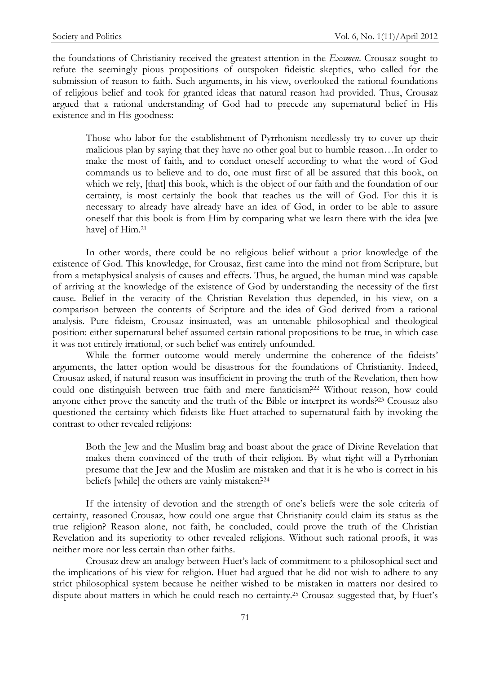the foundations of Christianity received the greatest attention in the *Examen*. Crousaz sought to refute the seemingly pious propositions of outspoken fideistic skeptics, who called for the submission of reason to faith. Such arguments, in his view, overlooked the rational foundations of religious belief and took for granted ideas that natural reason had provided. Thus, Crousaz argued that a rational understanding of God had to precede any supernatural belief in His existence and in His goodness:

Those who labor for the establishment of Pyrrhonism needlessly try to cover up their malicious plan by saying that they have no other goal but to humble reason…In order to make the most of faith, and to conduct oneself according to what the word of God commands us to believe and to do, one must first of all be assured that this book, on which we rely, [that] this book, which is the object of our faith and the foundation of our certainty, is most certainly the book that teaches us the will of God. For this it is necessary to already have already have an idea of God, in order to be able to assure oneself that this book is from Him by comparing what we learn there with the idea [we have] of Him.<sup>21</sup>

In other words, there could be no religious belief without a prior knowledge of the existence of God. This knowledge, for Crousaz, first came into the mind not from Scripture, but from a metaphysical analysis of causes and effects. Thus, he argued, the human mind was capable of arriving at the knowledge of the existence of God by understanding the necessity of the first cause. Belief in the veracity of the Christian Revelation thus depended, in his view, on a comparison between the contents of Scripture and the idea of God derived from a rational analysis. Pure fideism, Crousaz insinuated, was an untenable philosophical and theological position: either supernatural belief assumed certain rational propositions to be true, in which case it was not entirely irrational, or such belief was entirely unfounded.

 While the former outcome would merely undermine the coherence of the fideists' arguments, the latter option would be disastrous for the foundations of Christianity. Indeed, Crousaz asked, if natural reason was insufficient in proving the truth of the Revelation, then how could one distinguish between true faith and mere fanaticism?<sup>22</sup> Without reason, how could anyone either prove the sanctity and the truth of the Bible or interpret its words?23 Crousaz also questioned the certainty which fideists like Huet attached to supernatural faith by invoking the contrast to other revealed religions:

Both the Jew and the Muslim brag and boast about the grace of Divine Revelation that makes them convinced of the truth of their religion. By what right will a Pyrrhonian presume that the Jew and the Muslim are mistaken and that it is he who is correct in his beliefs [while] the others are vainly mistaken?<sup>24</sup>

If the intensity of devotion and the strength of one's beliefs were the sole criteria of certainty, reasoned Crousaz, how could one argue that Christianity could claim its status as the true religion? Reason alone, not faith, he concluded, could prove the truth of the Christian Revelation and its superiority to other revealed religions. Without such rational proofs, it was neither more nor less certain than other faiths.

Crousaz drew an analogy between Huet's lack of commitment to a philosophical sect and the implications of his view for religion. Huet had argued that he did not wish to adhere to any strict philosophical system because he neither wished to be mistaken in matters nor desired to dispute about matters in which he could reach no certainty.25 Crousaz suggested that, by Huet's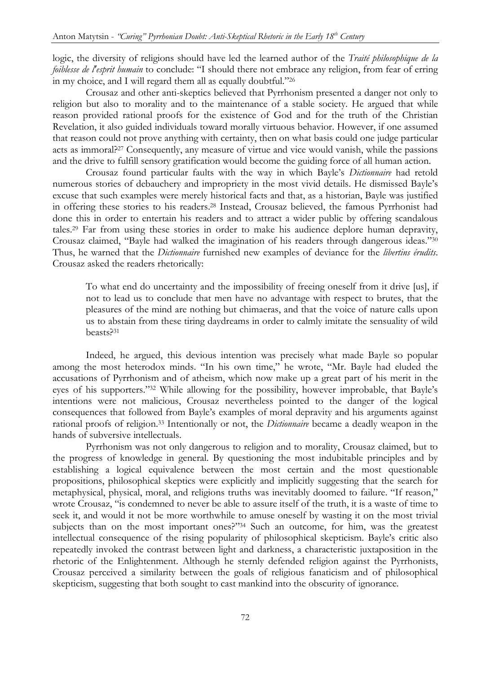logic, the diversity of religions should have led the learned author of the *Traité philosophique de la* foiblesse de l'esprit humain to conclude: "I should there not embrace any religion, from fear of erring in my choice, and I will regard them all as equally doubtful."<sup>26</sup>

 Crousaz and other anti-skeptics believed that Pyrrhonism presented a danger not only to religion but also to morality and to the maintenance of a stable society. He argued that while reason provided rational proofs for the existence of God and for the truth of the Christian Revelation, it also guided individuals toward morally virtuous behavior. However, if one assumed that reason could not prove anything with certainty, then on what basis could one judge particular acts as immoral?27 Consequently, any measure of virtue and vice would vanish, while the passions and the drive to fulfill sensory gratification would become the guiding force of all human action.

 Crousaz found particular faults with the way in which Bayle's Dictionnaire had retold numerous stories of debauchery and impropriety in the most vivid details. He dismissed Bayle's excuse that such examples were merely historical facts and that, as a historian, Bayle was justified in offering these stories to his readers.28 Instead, Crousaz believed, the famous Pyrrhonist had done this in order to entertain his readers and to attract a wider public by offering scandalous tales.29 Far from using these stories in order to make his audience deplore human depravity, Crousaz claimed, "Bayle had walked the imagination of his readers through dangerous ideas."<sup>30</sup> Thus, he warned that the *Dictionnaire* furnished new examples of deviance for the *libertins érudits*. Crousaz asked the readers rhetorically:

To what end do uncertainty and the impossibility of freeing oneself from it drive [us], if not to lead us to conclude that men have no advantage with respect to brutes, that the pleasures of the mind are nothing but chimaeras, and that the voice of nature calls upon us to abstain from these tiring daydreams in order to calmly imitate the sensuality of wild beasts?<sup>31</sup>

Indeed, he argued, this devious intention was precisely what made Bayle so popular among the most heterodox minds. "In his own time," he wrote, "Mr. Bayle had eluded the accusations of Pyrrhonism and of atheism, which now make up a great part of his merit in the eyes of his supporters."32 While allowing for the possibility, however improbable, that Bayle's intentions were not malicious, Crousaz nevertheless pointed to the danger of the logical consequences that followed from Bayle's examples of moral depravity and his arguments against rational proofs of religion.<sup>33</sup> Intentionally or not, the *Dictionnaire* became a deadly weapon in the hands of subversive intellectuals.

Pyrrhonism was not only dangerous to religion and to morality, Crousaz claimed, but to the progress of knowledge in general. By questioning the most indubitable principles and by establishing a logical equivalence between the most certain and the most questionable propositions, philosophical skeptics were explicitly and implicitly suggesting that the search for metaphysical, physical, moral, and religions truths was inevitably doomed to failure. "If reason," wrote Crousaz, "is condemned to never be able to assure itself of the truth, it is a waste of time to seek it, and would it not be more worthwhile to amuse oneself by wasting it on the most trivial subjects than on the most important ones?"<sup>34</sup> Such an outcome, for him, was the greatest intellectual consequence of the rising popularity of philosophical skepticism. Bayle's critic also repeatedly invoked the contrast between light and darkness, a characteristic juxtaposition in the rhetoric of the Enlightenment. Although he sternly defended religion against the Pyrrhonists, Crousaz perceived a similarity between the goals of religious fanaticism and of philosophical skepticism, suggesting that both sought to cast mankind into the obscurity of ignorance.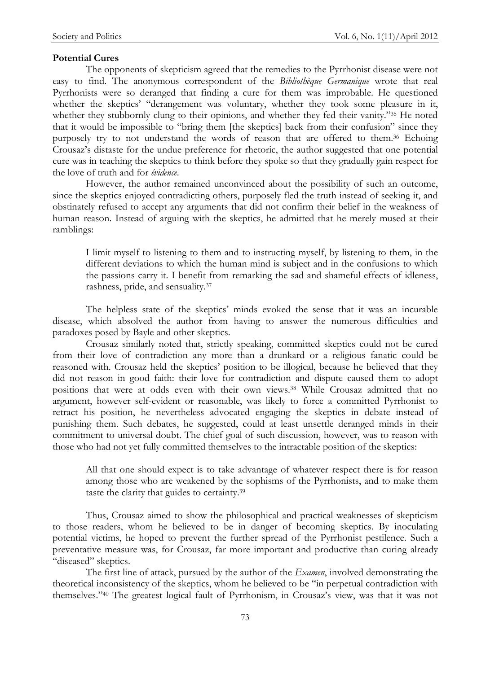#### Potential Cures

The opponents of skepticism agreed that the remedies to the Pyrrhonist disease were not easy to find. The anonymous correspondent of the Bibliothèque Germanique wrote that real Pyrrhonists were so deranged that finding a cure for them was improbable. He questioned whether the skeptics' "derangement was voluntary, whether they took some pleasure in it, whether they stubbornly clung to their opinions, and whether they fed their vanity."35 He noted that it would be impossible to "bring them [the skeptics] back from their confusion" since they purposely try to not understand the words of reason that are offered to them.36 Echoing Crousaz's distaste for the undue preference for rhetoric, the author suggested that one potential cure was in teaching the skeptics to think before they spoke so that they gradually gain respect for the love of truth and for évidence.

However, the author remained unconvinced about the possibility of such an outcome, since the skeptics enjoyed contradicting others, purposely fled the truth instead of seeking it, and obstinately refused to accept any arguments that did not confirm their belief in the weakness of human reason. Instead of arguing with the skeptics, he admitted that he merely mused at their ramblings:

I limit myself to listening to them and to instructing myself, by listening to them, in the different deviations to which the human mind is subject and in the confusions to which the passions carry it. I benefit from remarking the sad and shameful effects of idleness, rashness, pride, and sensuality.<sup>37</sup>

The helpless state of the skeptics' minds evoked the sense that it was an incurable disease, which absolved the author from having to answer the numerous difficulties and paradoxes posed by Bayle and other skeptics.

Crousaz similarly noted that, strictly speaking, committed skeptics could not be cured from their love of contradiction any more than a drunkard or a religious fanatic could be reasoned with. Crousaz held the skeptics' position to be illogical, because he believed that they did not reason in good faith: their love for contradiction and dispute caused them to adopt positions that were at odds even with their own views.38 While Crousaz admitted that no argument, however self-evident or reasonable, was likely to force a committed Pyrrhonist to retract his position, he nevertheless advocated engaging the skeptics in debate instead of punishing them. Such debates, he suggested, could at least unsettle deranged minds in their commitment to universal doubt. The chief goal of such discussion, however, was to reason with those who had not yet fully committed themselves to the intractable position of the skeptics:

All that one should expect is to take advantage of whatever respect there is for reason among those who are weakened by the sophisms of the Pyrrhonists, and to make them taste the clarity that guides to certainty.<sup>39</sup>

Thus, Crousaz aimed to show the philosophical and practical weaknesses of skepticism to those readers, whom he believed to be in danger of becoming skeptics. By inoculating potential victims, he hoped to prevent the further spread of the Pyrrhonist pestilence. Such a preventative measure was, for Crousaz, far more important and productive than curing already "diseased" skeptics.

The first line of attack, pursued by the author of the *Examen*, involved demonstrating the theoretical inconsistency of the skeptics, whom he believed to be "in perpetual contradiction with themselves."40 The greatest logical fault of Pyrrhonism, in Crousaz's view, was that it was not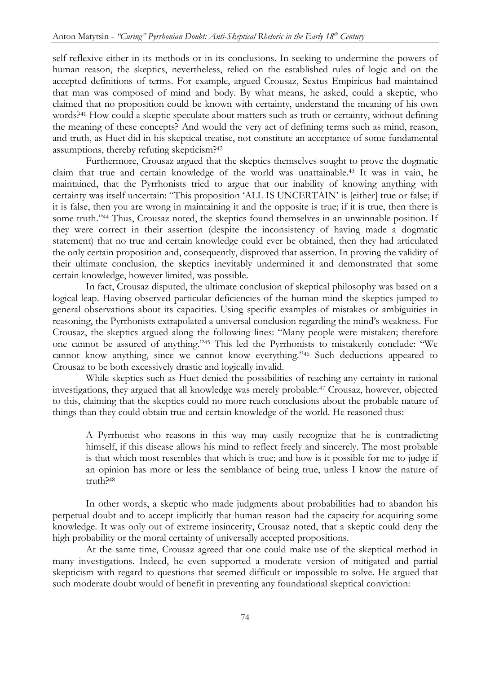self-reflexive either in its methods or in its conclusions. In seeking to undermine the powers of human reason, the skeptics, nevertheless, relied on the established rules of logic and on the accepted definitions of terms. For example, argued Crousaz, Sextus Empiricus had maintained that man was composed of mind and body. By what means, he asked, could a skeptic, who claimed that no proposition could be known with certainty, understand the meaning of his own words?41 How could a skeptic speculate about matters such as truth or certainty, without defining the meaning of these concepts? And would the very act of defining terms such as mind, reason, and truth, as Huet did in his skeptical treatise, not constitute an acceptance of some fundamental assumptions, thereby refuting skepticism?<sup>42</sup>

Furthermore, Crousaz argued that the skeptics themselves sought to prove the dogmatic claim that true and certain knowledge of the world was unattainable.43 It was in vain, he maintained, that the Pyrrhonists tried to argue that our inability of knowing anything with certainty was itself uncertain: "This proposition 'ALL IS UNCERTAIN' is [either] true or false; if it is false, then you are wrong in maintaining it and the opposite is true; if it is true, then there is some truth."<sup>44</sup> Thus, Crousaz noted, the skeptics found themselves in an unwinnable position. If they were correct in their assertion (despite the inconsistency of having made a dogmatic statement) that no true and certain knowledge could ever be obtained, then they had articulated the only certain proposition and, consequently, disproved that assertion. In proving the validity of their ultimate conclusion, the skeptics inevitably undermined it and demonstrated that some certain knowledge, however limited, was possible.

In fact, Crousaz disputed, the ultimate conclusion of skeptical philosophy was based on a logical leap. Having observed particular deficiencies of the human mind the skeptics jumped to general observations about its capacities. Using specific examples of mistakes or ambiguities in reasoning, the Pyrrhonists extrapolated a universal conclusion regarding the mind's weakness. For Crousaz, the skeptics argued along the following lines: "Many people were mistaken; therefore one cannot be assured of anything."45 This led the Pyrrhonists to mistakenly conclude: "We cannot know anything, since we cannot know everything."46 Such deductions appeared to Crousaz to be both excessively drastic and logically invalid.

 While skeptics such as Huet denied the possibilities of reaching any certainty in rational investigations, they argued that all knowledge was merely probable.47 Crousaz, however, objected to this, claiming that the skeptics could no more reach conclusions about the probable nature of things than they could obtain true and certain knowledge of the world. He reasoned thus:

A Pyrrhonist who reasons in this way may easily recognize that he is contradicting himself, if this disease allows his mind to reflect freely and sincerely. The most probable is that which most resembles that which is true; and how is it possible for me to judge if an opinion has more or less the semblance of being true, unless I know the nature of truth?<sup>48</sup>

In other words, a skeptic who made judgments about probabilities had to abandon his perpetual doubt and to accept implicitly that human reason had the capacity for acquiring some knowledge. It was only out of extreme insincerity, Crousaz noted, that a skeptic could deny the high probability or the moral certainty of universally accepted propositions.

 At the same time, Crousaz agreed that one could make use of the skeptical method in many investigations. Indeed, he even supported a moderate version of mitigated and partial skepticism with regard to questions that seemed difficult or impossible to solve. He argued that such moderate doubt would of benefit in preventing any foundational skeptical conviction: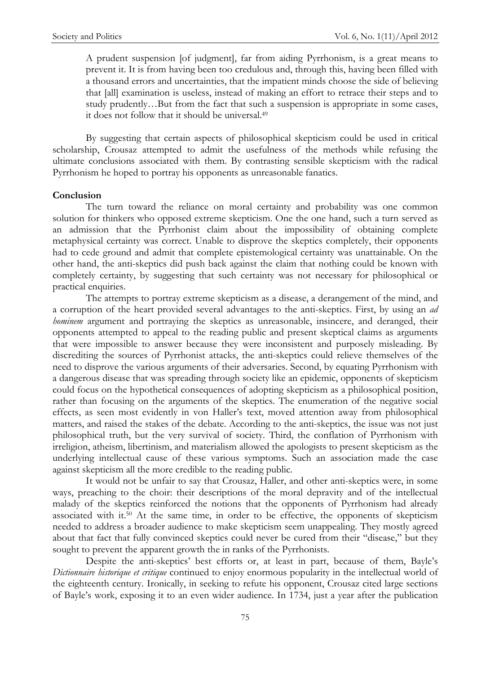A prudent suspension [of judgment], far from aiding Pyrrhonism, is a great means to prevent it. It is from having been too credulous and, through this, having been filled with a thousand errors and uncertainties, that the impatient minds choose the side of believing that [all] examination is useless, instead of making an effort to retrace their steps and to study prudently…But from the fact that such a suspension is appropriate in some cases, it does not follow that it should be universal.<sup>49</sup>

By suggesting that certain aspects of philosophical skepticism could be used in critical scholarship, Crousaz attempted to admit the usefulness of the methods while refusing the ultimate conclusions associated with them. By contrasting sensible skepticism with the radical Pyrrhonism he hoped to portray his opponents as unreasonable fanatics.

#### Conclusion

The turn toward the reliance on moral certainty and probability was one common solution for thinkers who opposed extreme skepticism. One the one hand, such a turn served as an admission that the Pyrrhonist claim about the impossibility of obtaining complete metaphysical certainty was correct. Unable to disprove the skeptics completely, their opponents had to cede ground and admit that complete epistemological certainty was unattainable. On the other hand, the anti-skeptics did push back against the claim that nothing could be known with completely certainty, by suggesting that such certainty was not necessary for philosophical or practical enquiries.

 The attempts to portray extreme skepticism as a disease, a derangement of the mind, and a corruption of the heart provided several advantages to the anti-skeptics. First, by using an *ad* hominem argument and portraying the skeptics as unreasonable, insincere, and deranged, their opponents attempted to appeal to the reading public and present skeptical claims as arguments that were impossible to answer because they were inconsistent and purposely misleading. By discrediting the sources of Pyrrhonist attacks, the anti-skeptics could relieve themselves of the need to disprove the various arguments of their adversaries. Second, by equating Pyrrhonism with a dangerous disease that was spreading through society like an epidemic, opponents of skepticism could focus on the hypothetical consequences of adopting skepticism as a philosophical position, rather than focusing on the arguments of the skeptics. The enumeration of the negative social effects, as seen most evidently in von Haller's text, moved attention away from philosophical matters, and raised the stakes of the debate. According to the anti-skeptics, the issue was not just philosophical truth, but the very survival of society. Third, the conflation of Pyrrhonism with irreligion, atheism, libertinism, and materialism allowed the apologists to present skepticism as the underlying intellectual cause of these various symptoms. Such an association made the case against skepticism all the more credible to the reading public.

 It would not be unfair to say that Crousaz, Haller, and other anti-skeptics were, in some ways, preaching to the choir: their descriptions of the moral depravity and of the intellectual malady of the skeptics reinforced the notions that the opponents of Pyrrhonism had already associated with it.<sup>50</sup> At the same time, in order to be effective, the opponents of skepticism needed to address a broader audience to make skepticism seem unappealing. They mostly agreed about that fact that fully convinced skeptics could never be cured from their "disease," but they sought to prevent the apparent growth the in ranks of the Pyrrhonists.

 Despite the anti-skeptics' best efforts or, at least in part, because of them, Bayle's Dictionnaire historique et critique continued to enjoy enormous popularity in the intellectual world of the eighteenth century. Ironically, in seeking to refute his opponent, Crousaz cited large sections of Bayle's work, exposing it to an even wider audience. In 1734, just a year after the publication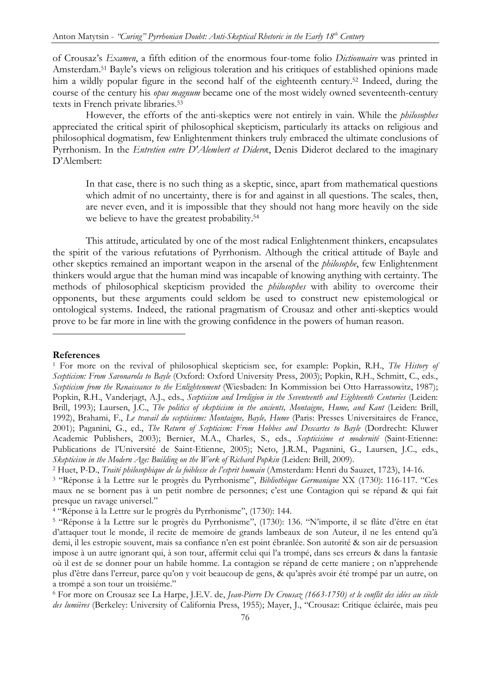of Crousaz's Examen, a fifth edition of the enormous four-tome folio Dictionnaire was printed in Amsterdam.51 Bayle's views on religious toleration and his critiques of established opinions made him a wildly popular figure in the second half of the eighteenth century.<sup>52</sup> Indeed, during the course of the century his *opus magnum* became one of the most widely owned seventeenth-century texts in French private libraries.<sup>53</sup>

However, the efforts of the anti-skeptics were not entirely in vain. While the *philosophes* appreciated the critical spirit of philosophical skepticism, particularly its attacks on religious and philosophical dogmatism, few Enlightenment thinkers truly embraced the ultimate conclusions of Pyrrhonism. In the *Entretien entre D'Alembert et Diderot*, Denis Diderot declared to the imaginary D'Alembert:

In that case, there is no such thing as a skeptic, since, apart from mathematical questions which admit of no uncertainty, there is for and against in all questions. The scales, then, are never even, and it is impossible that they should not hang more heavily on the side we believe to have the greatest probability.<sup>54</sup>

This attitude, articulated by one of the most radical Enlightenment thinkers, encapsulates the spirit of the various refutations of Pyrrhonism. Although the critical attitude of Bayle and other skeptics remained an important weapon in the arsenal of the philosophe, few Enlightenment thinkers would argue that the human mind was incapable of knowing anything with certainty. The methods of philosophical skepticism provided the *philosophes* with ability to overcome their opponents, but these arguments could seldom be used to construct new epistemological or ontological systems. Indeed, the rational pragmatism of Crousaz and other anti-skeptics would prove to be far more in line with the growing confidence in the powers of human reason. j

## References

<sup>&</sup>lt;sup>1</sup> For more on the revival of philosophical skepticism see, for example: Popkin, R.H., The History of Scepticism: From Savonarola to Bayle (Oxford: Oxford University Press, 2003); Popkin, R.H., Schmitt, C., eds., Scepticism from the Renaissance to the Enlightenment (Wiesbaden: In Kommission bei Otto Harrassowitz, 1987); Popkin, R.H., Vanderjagt, A.J., eds., Scepticism and Irreligion in the Seventeenth and Eighteenth Centuries (Leiden: Brill, 1993); Laursen, J.C., The politics of skepticism in the ancients, Montaigne, Hume, and Kant (Leiden: Brill, 1992), Brahami, F., Le travail du scepticisme: Montaigne, Bayle, Hume (Paris: Presses Universitaires de France, 2001); Paganini, G., ed., The Return of Scepticism: From Hobbes and Descartes to Bayle (Dordrecht: Kluwer Academic Publishers, 2003); Bernier, M.A., Charles, S., eds., Scepticisime et modernité (Saint-Etienne: Publications de l'Université de Saint-Etienne, 2005); Neto, J.R.M., Paganini, G., Laursen, J.C., eds., Skepticism in the Modern Age: Building on the Work of Richard Popkin (Leiden: Brill, 2009).

<sup>&</sup>lt;sup>2</sup> Huet, P-D., *Traité philosophique de la foiblesse de l'esprit humain* (Amsterdam: Henri du Sauzet, 1723), 14-16.

<sup>&</sup>lt;sup>3</sup> "Réponse à la Lettre sur le progrès du Pyrrhonisme", Bibliothèque Germanique XX (1730): 116-117. "Ces maux ne se bornent pas à un petit nombre de personnes; c'est une Contagion qui se répand & qui fait presque un ravage universel."

<sup>4</sup> "Réponse à la Lettre sur le progrès du Pyrrhonisme", (1730): 144.

<sup>5</sup> "Réponse à la Lettre sur le progrès du Pyrrhonisme", (1730): 136. "N'importe, il se flâte d'être en état d'attaquer tout le monde, il recite de memoire de grands lambeaux de son Auteur, il ne les entend qu'à demi, il les estropie souvent, mais sa confiance n'en est point ébranlée. Son autorité & son air de persuasion impose à un autre ignorant qui, à son tour, affermit celui qui l'a trompé, dans ses erreurs & dans la fantasie où il est de se donner pour un habile homme. La contagion se répand de cette maniere ; on n'apprehende plus d'être dans l'erreur, parce qu'on y voit beaucoup de gens, & qu'après avoir été trompé par un autre, on a trompé a son tour un troisiéme."

<sup>&</sup>lt;sup>6</sup> For more on Crousaz see La Harpe, J.E.V. de, Jean-Pierre De Crousaz (1663-1750) et le conflit des idées au siècle des lumières (Berkeley: University of California Press, 1955); Mayer, J., "Crousaz: Critique éclairée, mais peu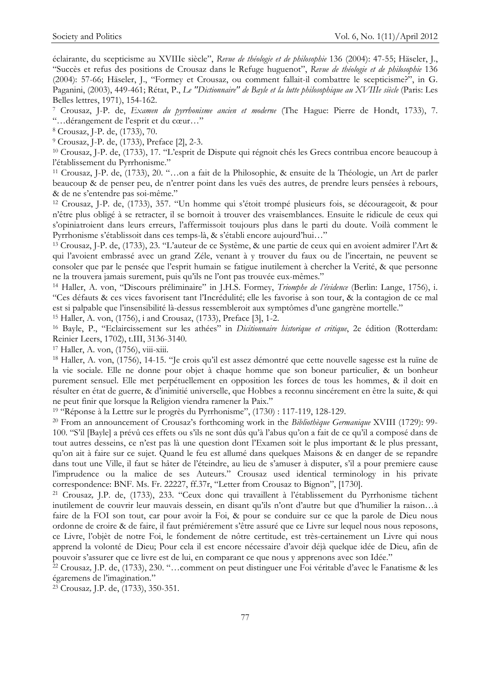éclairante, du scepticisme au XVIIIe siècle", Revue de théologie et de philosophie 136 (2004): 47-55; Häseler, J., "Succès et refus des positions de Crousaz dans le Refuge huguenot", Revue de théologie et de philosophie 136 (2004): 57-66; Häseler, J., "Formey et Crousaz, ou comment fallait-il combattre le scepticisme?", in G. Paganini, (2003), 449-461; Rétat, P., Le "Dictionnaire" de Bayle et la lutte philosophique au XVIIIe siècle (Paris: Les Belles lettres, 1971), 154-162.

7 Crousaz, J-P. de, Examen du pyrrhonisme ancien et moderne (The Hague: Pierre de Hondt, 1733), 7. "…dérangement de l'esprit et du cœur…"

8 Crousaz, J-P. de, (1733), 70.

9 Crousaz, J-P. de, (1733), Preface [2], 2-3.

<sup>10</sup> Crousaz, J-P. de, (1733), 17. "L'esprit de Dispute qui régnoit chés les Grecs contribua encore beaucoup à l'établissement du Pyrrhonisme."

<sup>11</sup> Crousaz, J-P. de, (1733), 20. "…on a fait de la Philosophie, & ensuite de la Théologie, un Art de parler beaucoup & de penser peu, de n'entrer point dans les vuës des autres, de prendre leurs pensées à rebours, & de ne s'entendre pas soi-même."

<sup>12</sup> Crousaz, J-P. de, (1733), 357. "Un homme qui s'étoit trompé plusieurs fois, se décourageoit, & pour n'être plus obligé à se retracter, il se bornoit à trouver des vraisemblances. Ensuite le ridicule de ceux qui s'opiniatroient dans leurs erreurs, l'affermissoit toujours plus dans le parti du doute. Voilà comment le Pyrrhonisme s'établissoit dans ces temps-là, & s'établi encore aujourd'hui…"

<sup>13</sup> Crousaz, J-P. de, (1733), 23. "L'auteur de ce Systême, & une partie de ceux qui en avoient admirer l'Art & qui l'avoient embrassé avec un grand Zéle, venant à y trouver du faux ou de l'incertain, ne peuvent se consoler que par le pensée que l'esprit humain se fatigue inutilement à chercher la Verité, & que personne ne la trouvera jamais surement, puis qu'ils ne l'ont pas trouvée eux-mêmes."

<sup>14</sup> Haller, A. von, "Discours préliminaire" in J.H.S. Formey, Triomphe de l'évidence (Berlin: Lange, 1756), i. "Ces défauts & ces vices favorisent tant l'Incrédulité; elle les favorise à son tour, & la contagion de ce mal est si palpable que l'insensibilité là-dessus ressembleroit aux symptômes d'une gangrène mortelle."

<sup>15</sup> Haller, A. von, (1756), i and Crousaz, (1733), Preface [3], 1-2.

<sup>16</sup> Bayle, P., "Eclaircissement sur les athées" in *Dicitionnaire historique et critique*, 2e édition (Rotterdam: Reinier Leers, 1702), t.III, 3136-3140.

<sup>17</sup> Haller, A. von, (1756), viii-xiii.

<sup>18</sup> Haller, A. von, (1756), 14-15. "Je crois qu'il est assez démontré que cette nouvelle sagesse est la ruïne de la vie sociale. Elle ne donne pour objet à chaque homme que son boneur particulier, & un bonheur purement sensuel. Elle met perpétuellement en opposition les forces de tous les hommes, & il doit en résulter en état de guerre, & d'inimitié universelle, que Hobbes a reconnu sincérement en être la suite, & qui ne peut finir que lorsque la Religion viendra ramener la Paix."

<sup>19</sup> "Réponse à la Lettre sur le progrès du Pyrrhonisme", (1730) : 117-119, 128-129.

<sup>20</sup> From an announcement of Crousaz's forthcoming work in the *Bibliothèque Germanique* XVIII (1729): 99-100. "S'il [Bayle] a prévû ces effets ou s'ils ne sont dûs qu'à l'abus qu'on a fait de ce qu'il a composé dans de tout autres desseins, ce n'est pas là une question dont l'Examen soit le plus important & le plus pressant, qu'on ait à faire sur ce sujet. Quand le feu est allumé dans quelques Maisons & en danger de se repandre dans tout une Ville, il faut se hâter de l'éteindre, au lieu de s'amuser à disputer, s'il a pour premiere cause l'imprudence ou la malice de ses Auteurs." Crousaz used identical terminology in his private correspondence: BNF. Ms. Fr. 22227, ff.37r, "Letter from Crousaz to Bignon", [1730].

<sup>21</sup> Crousaz, J.P. de, (1733), 233. "Ceux donc qui travaillent à l'établissement du Pyrrhonisme tâchent inutilement de couvrir leur mauvais dessein, en disant qu'ils n'ont d'autre but que d'humilier la raison…à faire de la FOI son tout, car pour avoir la Foi, & pour se conduire sur ce que la parole de Dieu nous ordonne de croire & de faire, il faut prémiérement s'être assuré que ce Livre sur lequel nous nous reposons, ce Livre, l'objèt de notre Foi, le fondement de nôtre certitude, est très-certainement un Livre qui nous apprend la volonté de Dieu; Pour cela il est encore nécessaire d'avoir déjà quelque idée de Dieu, afin de pouvoir s'assurer que ce livre est de lui, en comparant ce que nous y apprenons avec son Idée."

<sup>22</sup> Crousaz, J.P. de, (1733), 230. "…comment on peut distinguer une Foi véritable d'avec le Fanatisme & les égaremens de l'imagination."

23 Crousaz, J.P. de, (1733), 350-351.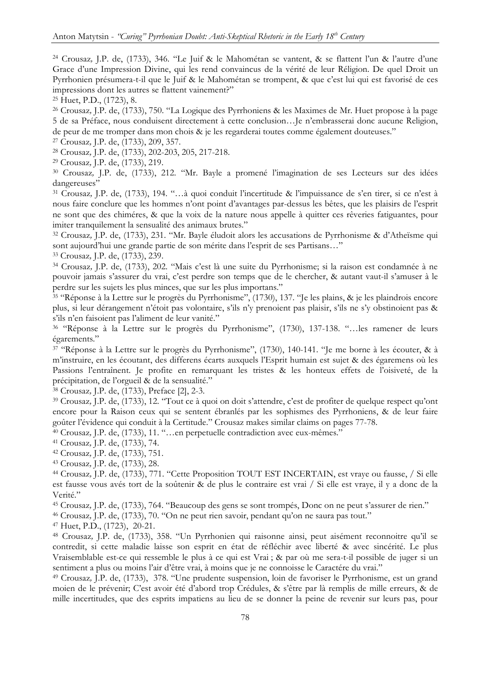<sup>24</sup> Crousaz, J.P. de, (1733), 346. "Le Juif & le Mahométan se vantent, & se flattent l'un & l'autre d'une Grace d'une Impression Divine, qui les rend convaincus de la vérité de leur Réligion. De quel Droit un Pyrrhonien présumera-t-il que le Juif & le Mahométan se trompent, & que c'est lui qui est favorisé de ces impressions dont les autres se flattent vainement?"

<sup>25</sup> Huet, P.D., (1723), 8.

<sup>26</sup> Crousaz, J.P. de, (1733), 750. "La Logique des Pyrrhoniens & les Maximes de Mr. Huet propose à la page 5 de sa Préface, nous conduisent directement à cette conclusion…Je n'embrasserai donc aucune Religion, de peur de me tromper dans mon chois & je les regarderai toutes comme également douteuses."

<sup>27</sup> Crousaz, J.P. de, (1733), 209, 357.

<sup>28</sup> Crousaz, J.P. de, (1733), 202-203, 205, 217-218.

<sup>29</sup> Crousaz, J.P. de, (1733), 219.

<sup>30</sup> Crousaz, J.P. de, (1733), 212. "Mr. Bayle a promené l'imagination de ses Lecteurs sur des idées dangereuses"

<sup>31</sup> Crousaz, J.P. de, (1733), 194. "…à quoi conduit l'incertitude & l'impuissance de s'en tirer, si ce n'est à nous faire conclure que les hommes n'ont point d'avantages par-dessus les bêtes, que les plaisirs de l'esprit ne sont que des chiméres, & que la voix de la nature nous appelle à quitter ces rêveries fatiguantes, pour imiter tranquilement la sensualité des animaux brutes."

<sup>32</sup> Crousaz, J.P. de, (1733), 231. "Mr. Bayle éludoit alors les accusations de Pyrrhonisme & d'Atheïsme qui sont aujourd'hui une grande partie de son mérite dans l'esprit de ses Partisans…"

<sup>33</sup> Crousaz, J.P. de, (1733), 239.

<sup>34</sup> Crousaz, J.P. de, (1733), 202. "Mais c'est là une suite du Pyrrhonisme; si la raison est condamnée à ne pouvoir jamais s'assurer du vrai, c'est perdre son temps que de le chercher, & autant vaut-il s'amuser à le perdre sur les sujets les plus minces, que sur les plus importans."

<sup>35</sup> "Réponse à la Lettre sur le progrès du Pyrrhonisme", (1730), 137. "Je les plains, & je les plaindrois encore plus, si leur dérangement n'étoit pas volontaire, s'ils n'y prenoient pas plaisir, s'ils ne s'y obstinoient pas & s'ils n'en faisoient pas l'aliment de leur vanité."

<sup>36</sup> "Réponse à la Lettre sur le progrès du Pyrrhonisme", (1730), 137-138. "…les ramener de leurs égarements."

<sup>37</sup> "Réponse à la Lettre sur le progrès du Pyrrhonisme", (1730), 140-141. "Je me borne à les écouter, & à m'instruire, en les écoutant, des differens écarts auxquels l'Esprit humain est sujet & des égaremens où les Passions l'entraînent. Je profite en remarquant les tristes & les honteux effets de l'oisiveté, de la précipitation, de l'orgueil & de la sensualité."

<sup>38</sup> Crousaz, J.P. de, (1733), Preface [2], 2-3.

<sup>39</sup> Crousaz, J.P. de, (1733), 12. "Tout ce à quoi on doit s'attendre, c'est de profiter de quelque respect qu'ont encore pour la Raison ceux qui se sentent ébranlés par les sophismes des Pyrrhoniens, & de leur faire goûter l'évidence qui conduit à la Certitude." Crousaz makes similar claims on pages 77-78.

<sup>40</sup> Crousaz, J.P. de, (1733), 11. "…en perpetuelle contradiction avec eux-mêmes."

<sup>41</sup> Crousaz, J.P. de, (1733), 74.

<sup>42</sup> Crousaz, J.P. de, (1733), 751.

<sup>43</sup> Crousaz, J.P. de, (1733), 28.

<sup>44</sup> Crousaz, J.P. de, (1733), 771. "Cette Proposition TOUT EST INCERTAIN, est vraye ou fausse, / Si elle est fausse vous avés tort de la soûtenir & de plus le contraire est vrai / Si elle est vraye, il y a donc de la Verité."

<sup>45</sup> Crousaz, J.P. de, (1733), 764. "Beaucoup des gens se sont trompés, Donc on ne peut s'assurer de rien."

<sup>46</sup> Crousaz, J.P. de, (1733), 70. "On ne peut rien savoir, pendant qu'on ne saura pas tout."

<sup>47</sup> Huet, P.D., (1723), 20-21.

<sup>48</sup> Crousaz, J.P. de, (1733), 358. "Un Pyrrhonien qui raisonne ainsi, peut aisément reconnoitre qu'il se contredit, si cette maladie laisse son esprit en état de réfléchir avec liberté & avec sincérité. Le plus Vraisemblable est-ce qui ressemble le plus à ce qui est Vrai ; & par où me sera-t-il possible de juger si un sentiment a plus ou moins l'air d'être vrai, à moins que je ne connoisse le Caractére du vrai."

<sup>49</sup> Crousaz, J.P. de, (1733), 378. "Une prudente suspension, loin de favoriser le Pyrrhonisme, est un grand moien de le prévenir; C'est avoir été d'abord trop Crédules, & s'être par là remplis de mille erreurs, & de mille incertitudes, que des esprits impatiens au lieu de se donner la peine de revenir sur leurs pas, pour